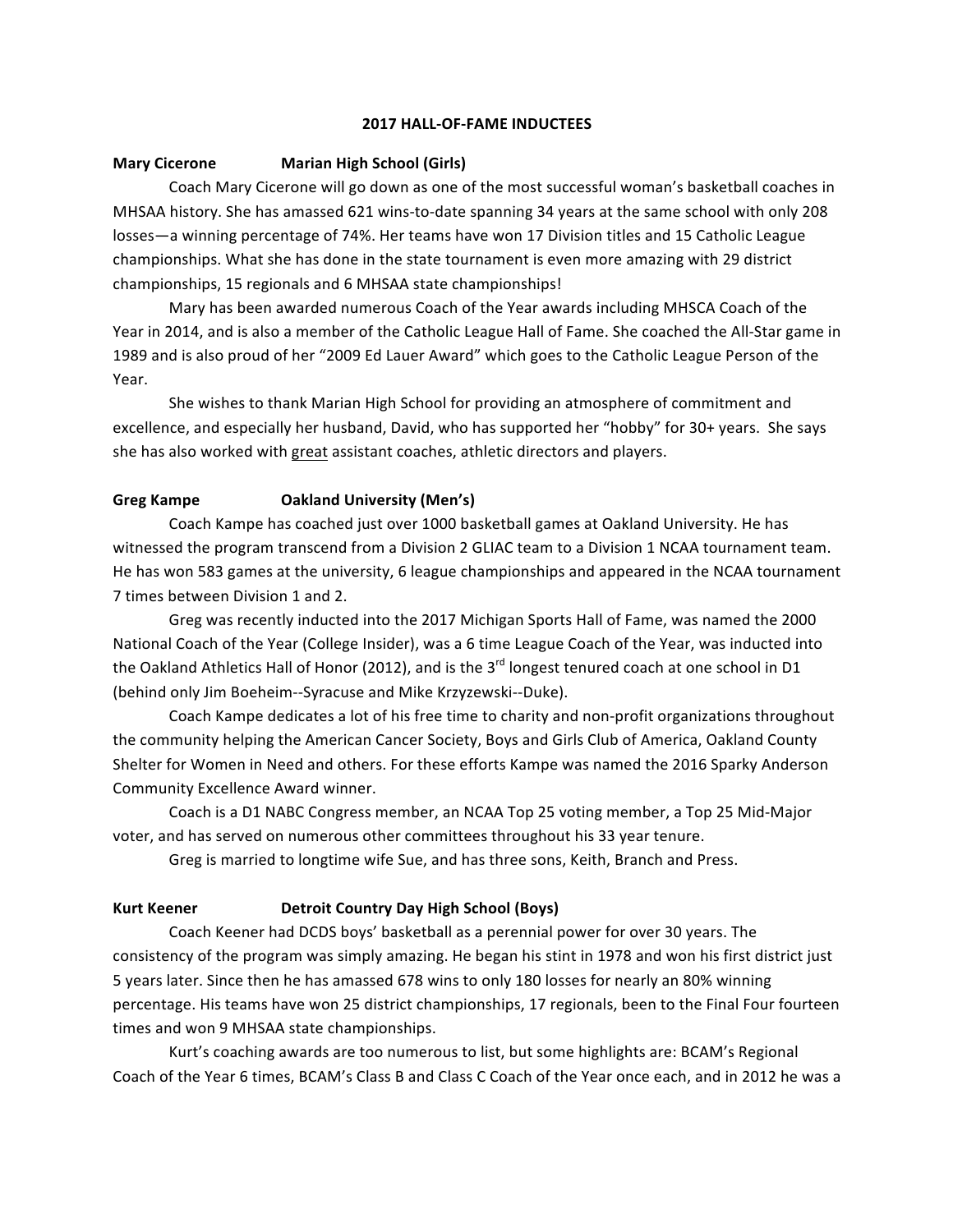### **2017 HALL-OF-FAME INDUCTEES**

### **Mary Cicerone Marian High School (Girls)**

Coach Mary Cicerone will go down as one of the most successful woman's basketball coaches in MHSAA history. She has amassed 621 wins-to-date spanning 34 years at the same school with only 208 losses—a winning percentage of 74%. Her teams have won 17 Division titles and 15 Catholic League championships. What she has done in the state tournament is even more amazing with 29 district championships, 15 regionals and 6 MHSAA state championships!

Mary has been awarded numerous Coach of the Year awards including MHSCA Coach of the Year in 2014, and is also a member of the Catholic League Hall of Fame. She coached the All-Star game in 1989 and is also proud of her "2009 Ed Lauer Award" which goes to the Catholic League Person of the Year.

She wishes to thank Marian High School for providing an atmosphere of commitment and excellence, and especially her husband, David, who has supported her "hobby" for 30+ years. She says she has also worked with great assistant coaches, athletic directors and players.

## **Greg Kampe Oakland University (Men's)**

Coach Kampe has coached just over 1000 basketball games at Oakland University. He has witnessed the program transcend from a Division 2 GLIAC team to a Division 1 NCAA tournament team. He has won 583 games at the university, 6 league championships and appeared in the NCAA tournament 7 times between Division 1 and 2.

Greg was recently inducted into the 2017 Michigan Sports Hall of Fame, was named the 2000 National Coach of the Year (College Insider), was a 6 time League Coach of the Year, was inducted into the Oakland Athletics Hall of Honor (2012), and is the  $3^{rd}$  longest tenured coach at one school in D1 (behind only Jim Boeheim--Syracuse and Mike Krzyzewski--Duke).

Coach Kampe dedicates a lot of his free time to charity and non-profit organizations throughout the community helping the American Cancer Society, Boys and Girls Club of America, Oakland County Shelter for Women in Need and others. For these efforts Kampe was named the 2016 Sparky Anderson Community Excellence Award winner.

Coach is a D1 NABC Congress member, an NCAA Top 25 voting member, a Top 25 Mid-Major voter, and has served on numerous other committees throughout his 33 year tenure.

Greg is married to longtime wife Sue, and has three sons, Keith, Branch and Press.

# **Kurt Keener Detroit Country Day High School (Boys)**

Coach Keener had DCDS boys' basketball as a perennial power for over 30 years. The consistency of the program was simply amazing. He began his stint in 1978 and won his first district just 5 years later. Since then he has amassed 678 wins to only 180 losses for nearly an 80% winning percentage. His teams have won 25 district championships, 17 regionals, been to the Final Four fourteen times and won 9 MHSAA state championships.

Kurt's coaching awards are too numerous to list, but some highlights are: BCAM's Regional Coach of the Year 6 times, BCAM's Class B and Class C Coach of the Year once each, and in 2012 he was a